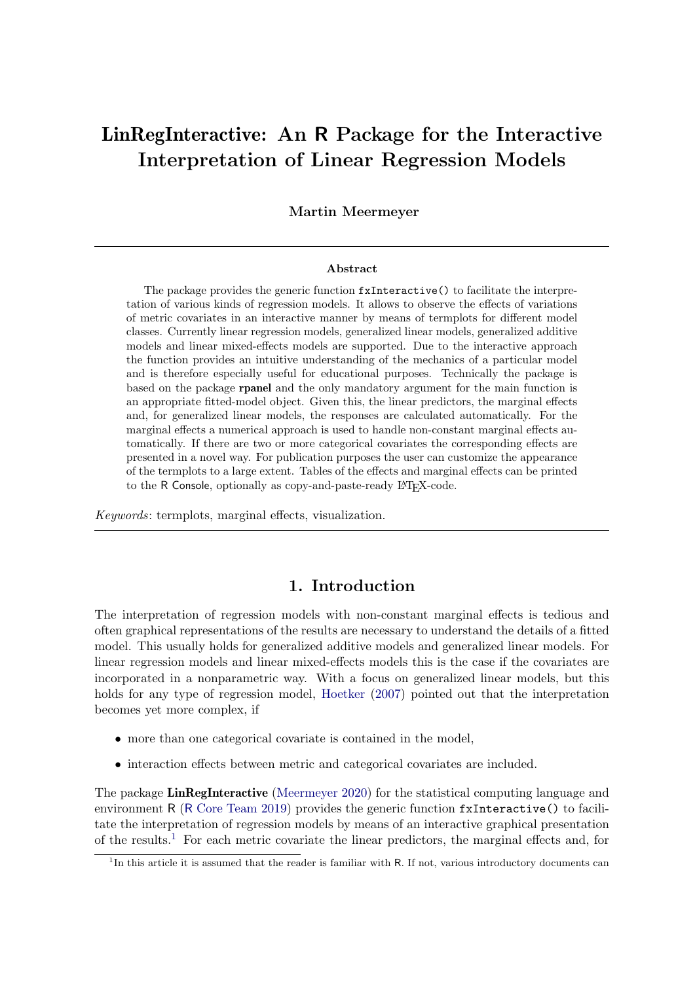# LinRegInteractive: An R Package for the Interactive Interpretation of Linear Regression Models

#### Martin Meermeyer

#### Abstract

The package provides the generic function fxInteractive() to facilitate the interpretation of various kinds of regression models. It allows to observe the effects of variations of metric covariates in an interactive manner by means of termplots for different model classes. Currently linear regression models, generalized linear models, generalized additive models and linear mixed-effects models are supported. Due to the interactive approach the function provides an intuitive understanding of the mechanics of a particular model and is therefore especially useful for educational purposes. Technically the package is based on the package rpanel and the only mandatory argument for the main function is an appropriate fitted-model object. Given this, the linear predictors, the marginal effects and, for generalized linear models, the responses are calculated automatically. For the marginal effects a numerical approach is used to handle non-constant marginal effects automatically. If there are two or more categorical covariates the corresponding effects are presented in a novel way. For publication purposes the user can customize the appearance of the termplots to a large extent. Tables of the effects and marginal effects can be printed to the R Console, optionally as copy-and-paste-ready LAT<sub>EX</sub>-code.

Keywords: termplots, marginal effects, visualization.

### 1. Introduction

<span id="page-0-1"></span>The interpretation of regression models with non-constant marginal effects is tedious and often graphical representations of the results are necessary to understand the details of a fitted model. This usually holds for generalized additive models and generalized linear models. For linear regression models and linear mixed-effects models this is the case if the covariates are incorporated in a nonparametric way. With a focus on generalized linear models, but this holds for any type of regression model, [Hoetker](#page-18-0) [\(2007\)](#page-18-0) pointed out that the interpretation becomes yet more complex, if

- more than one categorical covariate is contained in the model,
- interaction effects between metric and categorical covariates are included.

The package **LinRegInteractive** [\(Meermeyer](#page-18-1) [2020\)](#page-18-1) for the statistical computing language and environment R (R [Core Team](#page-18-2) [2019\)](#page-18-2) provides the generic function fxInteractive() to facilitate the interpretation of regression models by means of an interactive graphical presentation of the results.<sup>[1](#page-0-0)</sup> For each metric covariate the linear predictors, the marginal effects and, for

<span id="page-0-0"></span><sup>&</sup>lt;sup>1</sup>In this article it is assumed that the reader is familiar with R. If not, various introductory documents can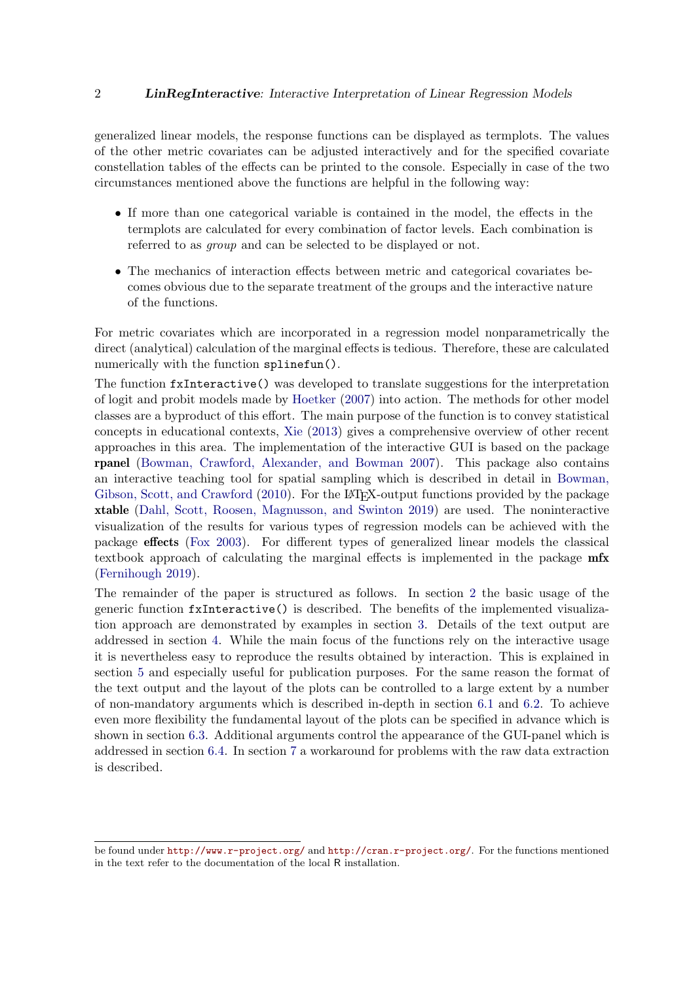#### 2 **LinRegInteractive:** Interactive Interpretation of Linear Regression Models

generalized linear models, the response functions can be displayed as termplots. The values of the other metric covariates can be adjusted interactively and for the specified covariate constellation tables of the effects can be printed to the console. Especially in case of the two circumstances mentioned above the functions are helpful in the following way:

- If more than one categorical variable is contained in the model, the effects in the termplots are calculated for every combination of factor levels. Each combination is referred to as group and can be selected to be displayed or not.
- The mechanics of interaction effects between metric and categorical covariates becomes obvious due to the separate treatment of the groups and the interactive nature of the functions.

For metric covariates which are incorporated in a regression model nonparametrically the direct (analytical) calculation of the marginal effects is tedious. Therefore, these are calculated numerically with the function splinefun().

The function fxInteractive() was developed to translate suggestions for the interpretation of logit and probit models made by [Hoetker](#page-18-0) [\(2007\)](#page-18-0) into action. The methods for other model classes are a byproduct of this effort. The main purpose of the function is to convey statistical concepts in educational contexts, [Xie](#page-18-3) [\(2013\)](#page-18-3) gives a comprehensive overview of other recent approaches in this area. The implementation of the interactive GUI is based on the package rpanel [\(Bowman, Crawford, Alexander, and Bowman](#page-17-0) [2007\)](#page-17-0). This package also contains an interactive teaching tool for spatial sampling which is described in detail in [Bowman,](#page-17-1) [Gibson, Scott, and Crawford](#page-17-1) [\(2010\)](#page-17-1). For the LAT<sub>EX</sub>-output functions provided by the package xtable [\(Dahl, Scott, Roosen, Magnusson, and Swinton](#page-17-2) [2019\)](#page-17-2) are used. The noninteractive visualization of the results for various types of regression models can be achieved with the package effects [\(Fox](#page-18-4) [2003\)](#page-18-4). For different types of generalized linear models the classical textbook approach of calculating the marginal effects is implemented in the package mfx [\(Fernihough](#page-18-5) [2019\)](#page-18-5).

The remainder of the paper is structured as follows. In section [2](#page-2-0) the basic usage of the generic function fxInteractive() is described. The benefits of the implemented visualization approach are demonstrated by examples in section [3.](#page-4-0) Details of the text output are addressed in section [4.](#page-8-0) While the main focus of the functions rely on the interactive usage it is nevertheless easy to reproduce the results obtained by interaction. This is explained in section [5](#page-9-0) and especially useful for publication purposes. For the same reason the format of the text output and the layout of the plots can be controlled to a large extent by a number of non-mandatory arguments which is described in-depth in section [6.1](#page-11-0) and [6.2.](#page-12-0) To achieve even more flexibility the fundamental layout of the plots can be specified in advance which is shown in section [6.3.](#page-15-0) Additional arguments control the appearance of the GUI-panel which is addressed in section [6.4.](#page-16-0) In section [7](#page-17-3) a workaround for problems with the raw data extraction is described.

be found under <http://www.r-project.org/> and <http://cran.r-project.org/>. For the functions mentioned in the text refer to the documentation of the local R installation.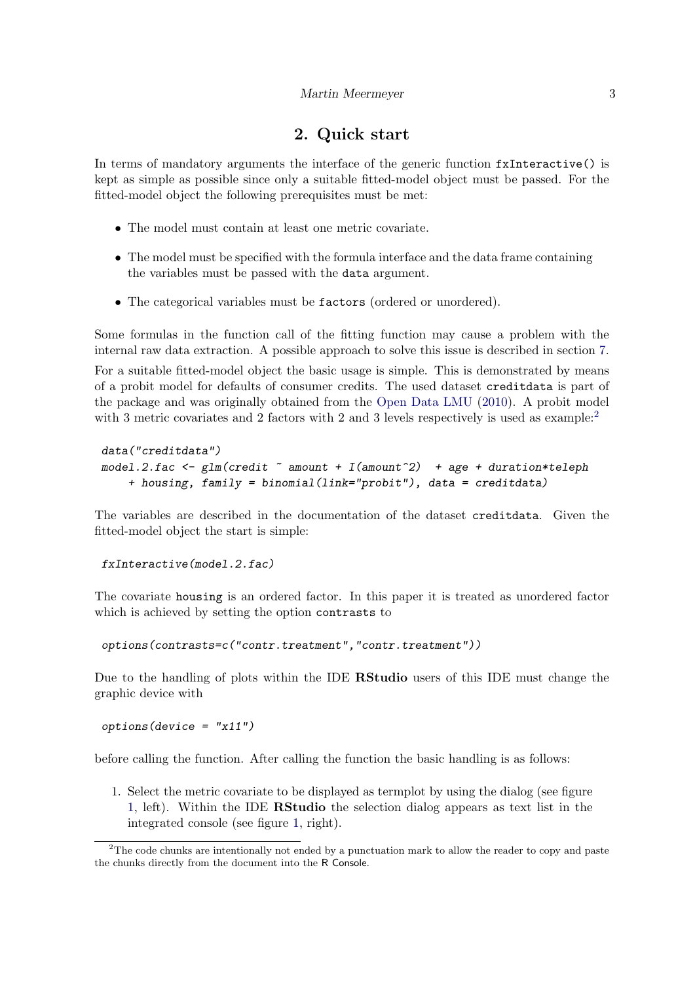# 2. Quick start

<span id="page-2-0"></span>In terms of mandatory arguments the interface of the generic function fxInteractive() is kept as simple as possible since only a suitable fitted-model object must be passed. For the fitted-model object the following prerequisites must be met:

- The model must contain at least one metric covariate.
- The model must be specified with the formula interface and the data frame containing the variables must be passed with the data argument.
- The categorical variables must be factors (ordered or unordered).

Some formulas in the function call of the fitting function may cause a problem with the internal raw data extraction. A possible approach to solve this issue is described in section [7.](#page-17-3) For a suitable fitted-model object the basic usage is simple. This is demonstrated by means of a probit model for defaults of consumer credits. The used dataset creditdata is part of the package and was originally obtained from the [Open Data LMU](#page-18-6) [\(2010\)](#page-18-6). A probit model with 3 metric covariates and [2](#page-2-1) factors with 2 and 3 levels respectively is used as example:

```
data("creditdata")
model.2.fac \leq glm(credit \approx amount + I(amount\approx2) + age + duration*teleph
    + housing, family = binomial(link="probit"), data = creditdata)
```
The variables are described in the documentation of the dataset creditdata. Given the fitted-model object the start is simple:

```
fxInteractive(model.2.fac)
```
The covariate housing is an ordered factor. In this paper it is treated as unordered factor which is achieved by setting the option contrasts to

options(contrasts=c("contr.treatment","contr.treatment"))

Due to the handling of plots within the IDE RStudio users of this IDE must change the graphic device with

```
options(device = "x11")
```
before calling the function. After calling the function the basic handling is as follows:

1. Select the metric covariate to be displayed as termplot by using the dialog (see figure [1,](#page-3-0) left). Within the IDE RStudio the selection dialog appears as text list in the integrated console (see figure [1,](#page-3-0) right).

<span id="page-2-1"></span><sup>&</sup>lt;sup>2</sup>The code chunks are intentionally not ended by a punctuation mark to allow the reader to copy and paste the chunks directly from the document into the R Console.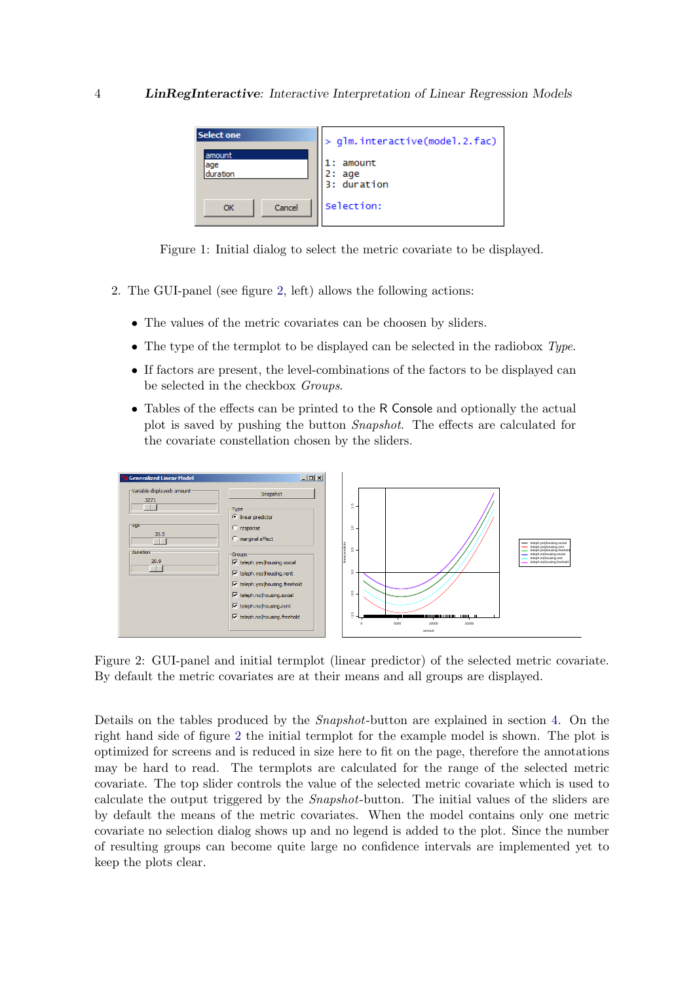<span id="page-3-0"></span>

Figure 1: Initial dialog to select the metric covariate to be displayed.

- 2. The GUI-panel (see figure [2,](#page-3-1) left) allows the following actions:
	- The values of the metric covariates can be choosen by sliders.
	- The type of the termplot to be displayed can be selected in the radiobox Type.
	- If factors are present, the level-combinations of the factors to be displayed can be selected in the checkbox Groups.
	- Tables of the effects can be printed to the R Console and optionally the actual plot is saved by pushing the button Snapshot. The effects are calculated for the covariate constellation chosen by the sliders.



<span id="page-3-1"></span>Figure 2: GUI-panel and initial termplot (linear predictor) of the selected metric covariate. By default the metric covariates are at their means and all groups are displayed.

Details on the tables produced by the Snapshot-button are explained in section [4.](#page-8-0) On the right hand side of figure [2](#page-3-1) the initial termplot for the example model is shown. The plot is optimized for screens and is reduced in size here to fit on the page, therefore the annotations may be hard to read. The termplots are calculated for the range of the selected metric covariate. The top slider controls the value of the selected metric covariate which is used to calculate the output triggered by the Snapshot-button. The initial values of the sliders are by default the means of the metric covariates. When the model contains only one metric covariate no selection dialog shows up and no legend is added to the plot. Since the number of resulting groups can become quite large no confidence intervals are implemented yet to keep the plots clear.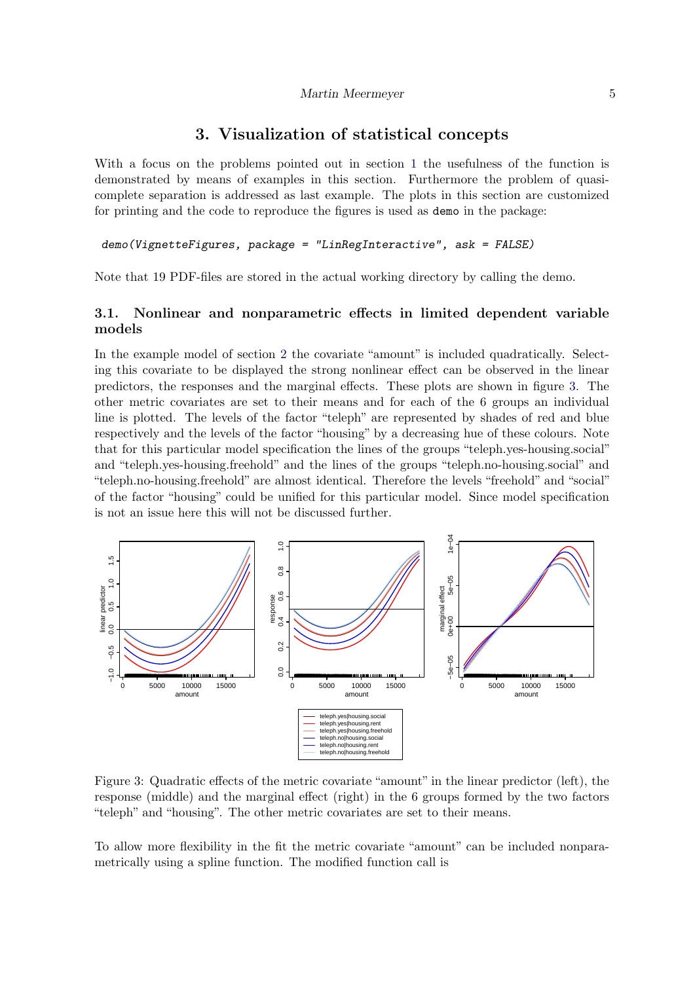## 3. Visualization of statistical concepts

<span id="page-4-0"></span>With a focus on the problems pointed out in section [1](#page-0-1) the usefulness of the function is demonstrated by means of examples in this section. Furthermore the problem of quasicomplete separation is addressed as last example. The plots in this section are customized for printing and the code to reproduce the figures is used as demo in the package:

#### demo(VignetteFigures, package = "LinRegInteractive", ask = FALSE)

Note that 19 PDF-files are stored in the actual working directory by calling the demo.

### 3.1. Nonlinear and nonparametric effects in limited dependent variable models

In the example model of section [2](#page-2-0) the covariate "amount" is included quadratically. Selecting this covariate to be displayed the strong nonlinear effect can be observed in the linear predictors, the responses and the marginal effects. These plots are shown in figure [3.](#page-4-1) The other metric covariates are set to their means and for each of the 6 groups an individual line is plotted. The levels of the factor "teleph" are represented by shades of red and blue respectively and the levels of the factor "housing" by a decreasing hue of these colours. Note that for this particular model specification the lines of the groups "teleph.yes-housing.social" and "teleph.yes-housing.freehold" and the lines of the groups "teleph.no-housing.social" and "teleph.no-housing.freehold" are almost identical. Therefore the levels "freehold" and "social" of the factor "housing" could be unified for this particular model. Since model specification is not an issue here this will not be discussed further.



<span id="page-4-1"></span>Figure 3: Quadratic effects of the metric covariate "amount" in the linear predictor (left), the response (middle) and the marginal effect (right) in the 6 groups formed by the two factors "teleph" and "housing". The other metric covariates are set to their means.

To allow more flexibility in the fit the metric covariate "amount" can be included nonparametrically using a spline function. The modified function call is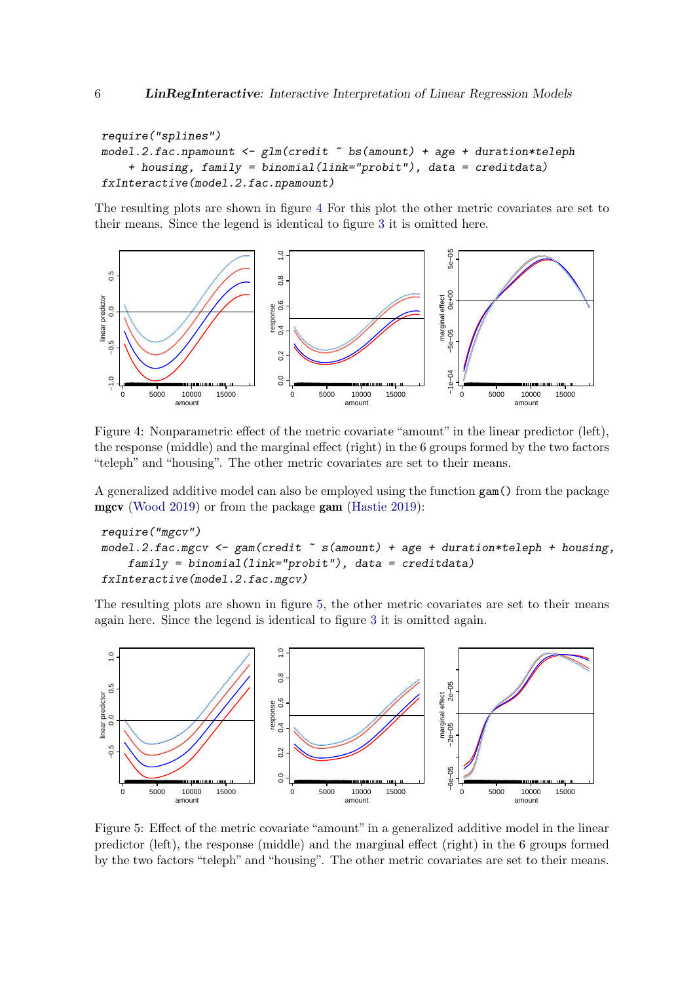```
require("splines")
model.2.fac.npamount \leq glm(credit \degree bs(amount) + age + duration*teleph
    + housing, family = binomial(link="probit"), data = creditdata)
fxInteractive(model.2.fac.npamount)
```
The resulting plots are shown in figure [4](#page-5-0) For this plot the other metric covariates are set to their means. Since the legend is identical to figure [3](#page-4-1) it is omitted here.



<span id="page-5-0"></span>Figure 4: Nonparametric effect of the metric covariate "amount" in the linear predictor (left), the response (middle) and the marginal effect (right) in the 6 groups formed by the two factors "teleph" and "housing". The other metric covariates are set to their means.

A generalized additive model can also be employed using the function gam() from the package mgcv [\(Wood](#page-18-7) [2019\)](#page-18-7) or from the package gam [\(Hastie](#page-18-8) [2019\)](#page-18-8):

```
require("mgcv")
model.2.fac.mgcv \leq gam(credit \leq s(amount) + age + duration*teleph + housing,
    family = binomial(link="probit"), data = creditdata)
fxInteractive(model.2.fac.mgcv)
```
The resulting plots are shown in figure [5,](#page-5-1) the other metric covariates are set to their means again here. Since the legend is identical to figure [3](#page-4-1) it is omitted again.



<span id="page-5-1"></span>Figure 5: Effect of the metric covariate "amount" in a generalized additive model in the linear predictor (left), the response (middle) and the marginal effect (right) in the 6 groups formed by the two factors "teleph" and "housing". The other metric covariates are set to their means.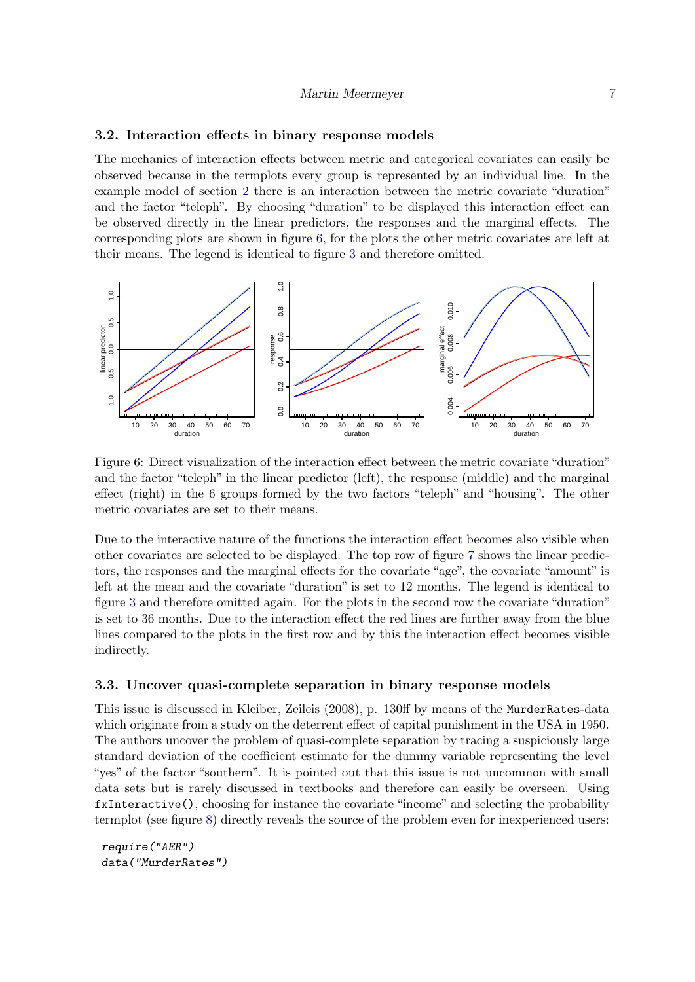#### <span id="page-6-0"></span>Martin Meermeyer 7

#### 3.2. Interaction effects in binary response models

The mechanics of interaction effects between metric and categorical covariates can easily be observed because in the termplots every group is represented by an individual line. In the example model of section [2](#page-2-0) there is an interaction between the metric covariate "duration" and the factor "teleph". By choosing "duration" to be displayed this interaction effect can be observed directly in the linear predictors, the responses and the marginal effects. The corresponding plots are shown in figure [6,](#page-6-0) for the plots the other metric covariates are left at their means. The legend is identical to figure [3](#page-4-1) and therefore omitted.



Figure 6: Direct visualization of the interaction effect between the metric covariate "duration" and the factor "teleph" in the linear predictor (left), the response (middle) and the marginal effect (right) in the 6 groups formed by the two factors "teleph" and "housing". The other metric covariates are set to their means.

Due to the interactive nature of the functions the interaction effect becomes also visible when other covariates are selected to be displayed. The top row of figure [7](#page-7-0) shows the linear predictors, the responses and the marginal effects for the covariate "age", the covariate "amount" is left at the mean and the covariate "duration" is set to 12 months. The legend is identical to figure [3](#page-4-1) and therefore omitted again. For the plots in the second row the covariate "duration" is set to 36 months. Due to the interaction effect the red lines are further away from the blue lines compared to the plots in the first row and by this the interaction effect becomes visible indirectly.

#### 3.3. Uncover quasi-complete separation in binary response models

This issue is discussed in Kleiber, Zeileis (2008), p. 130ff by means of the MurderRates-data which originate from a study on the deterrent effect of capital punishment in the USA in 1950. The authors uncover the problem of quasi-complete separation by tracing a suspiciously large standard deviation of the coefficient estimate for the dummy variable representing the level "yes" of the factor "southern". It is pointed out that this issue is not uncommon with small data sets but is rarely discussed in textbooks and therefore can easily be overseen. Using fxInteractive(), choosing for instance the covariate "income" and selecting the probability termplot (see figure [8\)](#page-7-1) directly reveals the source of the problem even for inexperienced users:

```
require("AER")
data("MurderRates")
```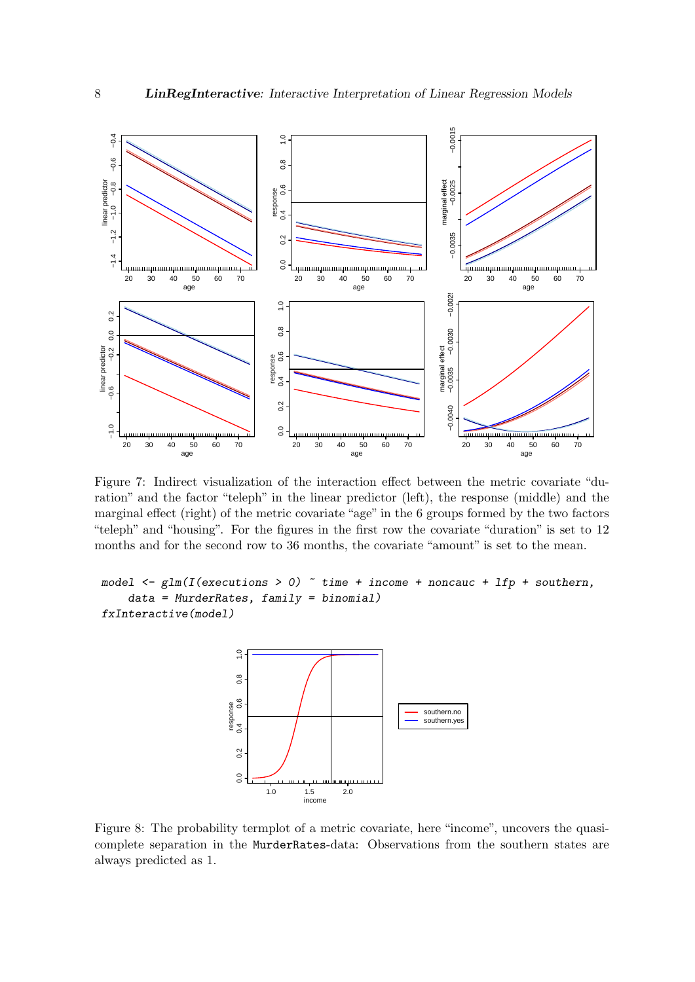

Figure 7: Indirect visualization of the interaction effect between the metric covariate "duration" and the factor "teleph" in the linear predictor (left), the response (middle) and the marginal effect (right) of the metric covariate "age" in the 6 groups formed by the two factors "teleph" and "housing". For the figures in the first row the covariate "duration" is set to 12 months and for the second row to 36 months, the covariate "amount" is set to the mean.

```
model \leq glm(I(executions > 0) \tilde{ } time + income + noncauc + lfp + southern,
    data = Murder Rates, family = binomial)fxInteractive(model)
```
<span id="page-7-1"></span><span id="page-7-0"></span>

Figure 8: The probability termplot of a metric covariate, here "income", uncovers the quasicomplete separation in the MurderRates-data: Observations from the southern states are always predicted as 1.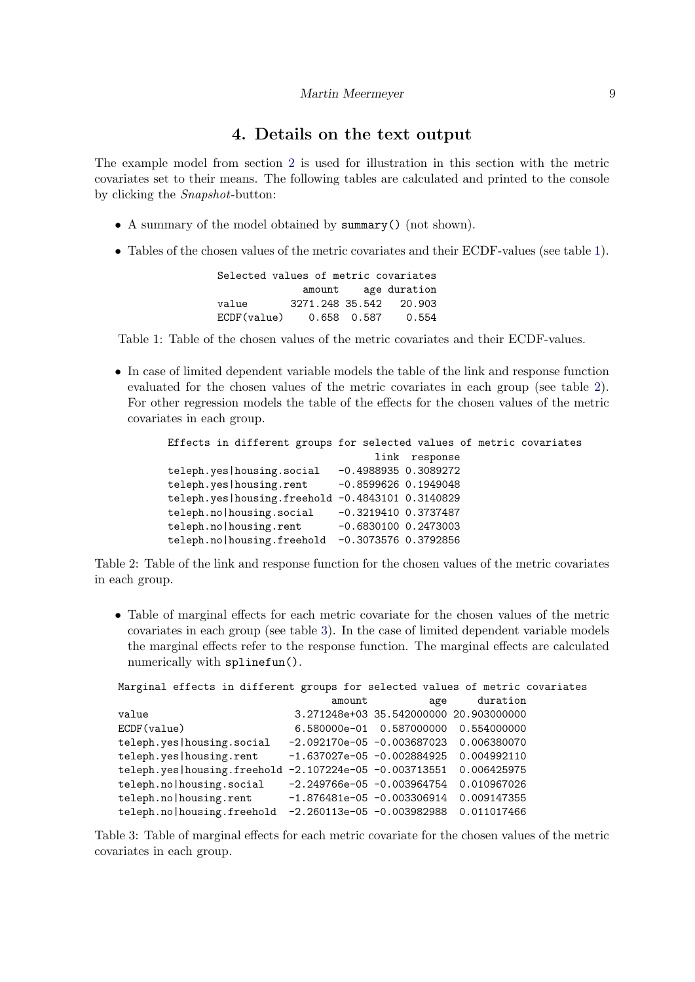## 4. Details on the text output

<span id="page-8-0"></span>The example model from section [2](#page-2-0) is used for illustration in this section with the metric covariates set to their means. The following tables are calculated and printed to the console by clicking the Snapshot-button:

- A summary of the model obtained by summary() (not shown).
- Tables of the chosen values of the metric covariates and their ECDF-values (see table [1\)](#page-8-1).

<span id="page-8-1"></span>

| Selected values of metric covariates |             |                        |
|--------------------------------------|-------------|------------------------|
|                                      |             | amount age duration    |
| value                                |             | 3271.248 35.542 20.903 |
| ECDF(value)                          | 0.658 0.587 | 0.554                  |

Table 1: Table of the chosen values of the metric covariates and their ECDF-values.

• In case of limited dependent variable models the table of the link and response function evaluated for the chosen values of the metric covariates in each group (see table [2\)](#page-8-2). For other regression models the table of the effects for the chosen values of the metric covariates in each group.

```
Effects in different groups for selected values of metric covariates
                                link response
teleph.yes|housing.social -0.4988935 0.3089272
teleph.yes|housing.rent -0.8599626 0.1949048
teleph.yes|housing.freehold -0.4843101 0.3140829
teleph.no|housing.social -0.3219410 0.3737487
teleph.no|housing.rent -0.6830100 0.2473003
teleph.no|housing.freehold -0.3073576 0.3792856
```
Table 2: Table of the link and response function for the chosen values of the metric covariates in each group.

• Table of marginal effects for each metric covariate for the chosen values of the metric covariates in each group (see table [3\)](#page-8-3). In the case of limited dependent variable models the marginal effects refer to the response function. The marginal effects are calculated numerically with splinefun().

<span id="page-8-3"></span>

| Marginal effects in different groups for selected values of metric covariates |                                          |                                        |             |  |
|-------------------------------------------------------------------------------|------------------------------------------|----------------------------------------|-------------|--|
|                                                                               | amount                                   | age                                    | duration    |  |
| value                                                                         |                                          | 3.271248e+03 35.542000000 20.903000000 |             |  |
| ECDF(value)                                                                   |                                          | 6.580000e-01  0.587000000  0.554000000 |             |  |
| teleph.yes housing.social                                                     | $-2.092170e-05 -0.003687023$ 0.006380070 |                                        |             |  |
| teleph.yes   housing.rent                                                     | $-1.637027e-05 -0.002884925$             |                                        | 0.004992110 |  |
| teleph.yes housing.freehold -2.107224e-05 -0.003713551                        |                                          |                                        | 0.006425975 |  |
| teleph.no housing.social                                                      | $-2.249766e-05 -0.003964754$             |                                        | 0.010967026 |  |
| teleph.no housing.rent                                                        | $-1.876481e-05 -0.003306914$             |                                        | 0.009147355 |  |
| teleph.no housing.freehold                                                    | -2.260113e-05 -0.003982988               |                                        | 0.011017466 |  |

Table 3: Table of marginal effects for each metric covariate for the chosen values of the metric covariates in each group.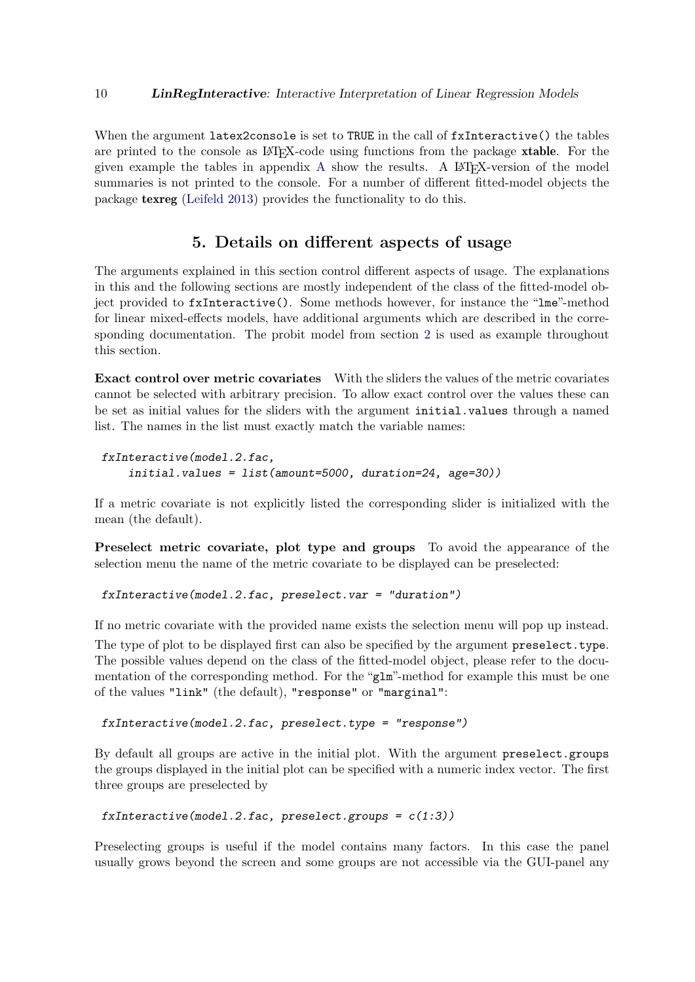When the argument latex2console is set to TRUE in the call of  $f$ xInteractive() the tables are printed to the console as LAT<sub>EX</sub>-code using functions from the package **xtable**. For the given example the tables in appendix  $A$  show the results. A LAT<sub>EX</sub>-version of the model summaries is not printed to the console. For a number of different fitted-model objects the package texreg [\(Leifeld](#page-18-9) [2013\)](#page-18-9) provides the functionality to do this.

### 5. Details on different aspects of usage

<span id="page-9-0"></span>The arguments explained in this section control different aspects of usage. The explanations in this and the following sections are mostly independent of the class of the fitted-model object provided to fxInteractive(). Some methods however, for instance the "lme"-method for linear mixed-effects models, have additional arguments which are described in the corresponding documentation. The probit model from section [2](#page-2-0) is used as example throughout this section.

Exact control over metric covariates With the sliders the values of the metric covariates cannot be selected with arbitrary precision. To allow exact control over the values these can be set as initial values for the sliders with the argument initial.values through a named list. The names in the list must exactly match the variable names:

```
fxInteractive(model.2.fac,
    initial.values = list(amount=5000, duration=24, age=30))
```
If a metric covariate is not explicitly listed the corresponding slider is initialized with the mean (the default).

Preselect metric covariate, plot type and groups To avoid the appearance of the selection menu the name of the metric covariate to be displayed can be preselected:

fxInteractive(model.2.fac, preselect.var = "duration")

If no metric covariate with the provided name exists the selection menu will pop up instead.

The type of plot to be displayed first can also be specified by the argument preselect.type. The possible values depend on the class of the fitted-model object, please refer to the documentation of the corresponding method. For the "glm"-method for example this must be one of the values "link" (the default), "response" or "marginal":

fxInteractive(model.2.fac, preselect.type = "response")

By default all groups are active in the initial plot. With the argument preselect.groups the groups displayed in the initial plot can be specified with a numeric index vector. The first three groups are preselected by

```
fxInteractive(model.2.fac, preselect.groups = c(1:3))
```
Preselecting groups is useful if the model contains many factors. In this case the panel usually grows beyond the screen and some groups are not accessible via the GUI-panel any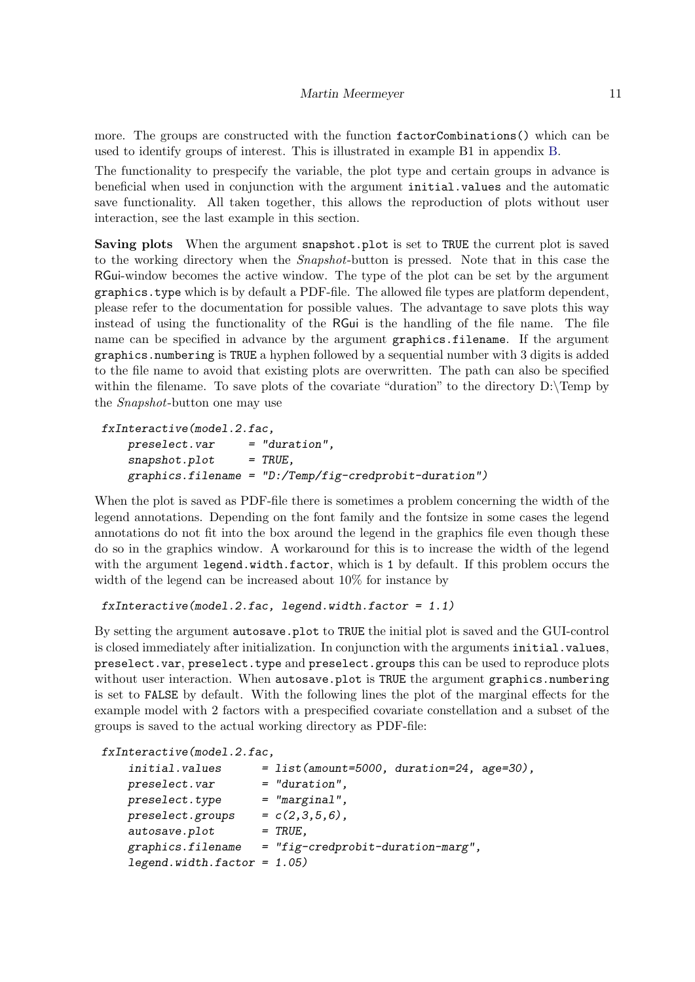more. The groups are constructed with the function factorCombinations() which can be used to identify groups of interest. This is illustrated in example B1 in appendix [B.](#page-19-1)

The functionality to prespecify the variable, the plot type and certain groups in advance is beneficial when used in conjunction with the argument initial.values and the automatic save functionality. All taken together, this allows the reproduction of plots without user interaction, see the last example in this section.

Saving plots When the argument snapshot.plot is set to TRUE the current plot is saved to the working directory when the Snapshot-button is pressed. Note that in this case the RGui-window becomes the active window. The type of the plot can be set by the argument graphics.type which is by default a PDF-file. The allowed file types are platform dependent, please refer to the documentation for possible values. The advantage to save plots this way instead of using the functionality of the RGui is the handling of the file name. The file name can be specified in advance by the argument graphics.filename. If the argument graphics.numbering is TRUE a hyphen followed by a sequential number with 3 digits is added to the file name to avoid that existing plots are overwritten. The path can also be specified within the filename. To save plots of the covariate "duration" to the directory  $D:\$  Temp by the Snapshot-button one may use

```
fxInteractive(model.2.fac,
   preslect. var = "duration".snapshot.plot = TRUE,graphics.filename = "D:/Temp/fig-credprobit-duration")
```
When the plot is saved as PDF-file there is sometimes a problem concerning the width of the legend annotations. Depending on the font family and the fontsize in some cases the legend annotations do not fit into the box around the legend in the graphics file even though these do so in the graphics window. A workaround for this is to increase the width of the legend with the argument legend.width.factor, which is 1 by default. If this problem occurs the width of the legend can be increased about 10% for instance by

```
fxInteractive(model.2.fac, legend.width.factor = 1.1)
```
By setting the argument autosave.plot to TRUE the initial plot is saved and the GUI-control is closed immediately after initialization. In conjunction with the arguments initial.values, preselect.var, preselect.type and preselect.groups this can be used to reproduce plots without user interaction. When autosave.plot is TRUE the argument graphics.numbering is set to FALSE by default. With the following lines the plot of the marginal effects for the example model with 2 factors with a prespecified covariate constellation and a subset of the groups is saved to the actual working directory as PDF-file:

| $=$ "duration",                   |                                                                                                          |
|-----------------------------------|----------------------------------------------------------------------------------------------------------|
| $=$ "marginal",                   |                                                                                                          |
| $= c(2,3,5,6)$ ,                  |                                                                                                          |
| $=$ TRUE,                         |                                                                                                          |
| = "fig-credprobit-duration-marg", |                                                                                                          |
|                                   |                                                                                                          |
|                                   | fxInteractive(model.2.fac,<br>= list(amount=5000, duration=24, age=30),<br>$legend.width.factor = 1.05)$ |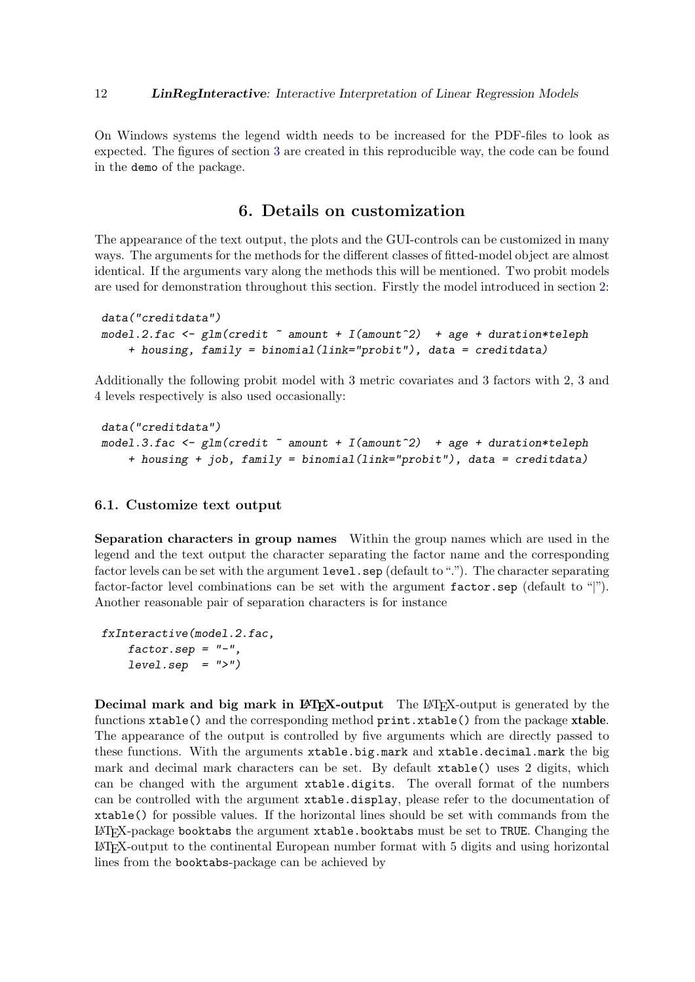On Windows systems the legend width needs to be increased for the PDF-files to look as expected. The figures of section [3](#page-4-0) are created in this reproducible way, the code can be found in the demo of the package.

# 6. Details on customization

The appearance of the text output, the plots and the GUI-controls can be customized in many ways. The arguments for the methods for the different classes of fitted-model object are almost identical. If the arguments vary along the methods this will be mentioned. Two probit models are used for demonstration throughout this section. Firstly the model introduced in section [2:](#page-2-0)

```
data("creditdata")
model.2.fac \leq glm(credit \sim amount + I(amount\sim2) + age + duration*teleph
    + housing, family = binomial(link="probit"), data = creditdata)
```
Additionally the following probit model with 3 metric covariates and 3 factors with 2, 3 and 4 levels respectively is also used occasionally:

```
data("creditdata")
model.3.fac \leq glm(credit \tilde{a} amount + I(amount\tilde{c}) + age + duration*teleph
    + housing + job, family = binomial(link="probit"), data = creditdata)
```
### <span id="page-11-0"></span>6.1. Customize text output

Separation characters in group names Within the group names which are used in the legend and the text output the character separating the factor name and the corresponding factor levels can be set with the argument level.sep (default to "."). The character separating factor-factor level combinations can be set with the argument  $factor.\,sep$  (default to "|"). Another reasonable pair of separation characters is for instance

```
fxInteractive(model.2.fac,
    factor.\,sep = "-",
    level.\,sep = ">}")
```
Decimal mark and big mark in LAT<sub>EX</sub>-output The LAT<sub>EX</sub>-output is generated by the functions xtable() and the corresponding method print.xtable() from the package xtable. The appearance of the output is controlled by five arguments which are directly passed to these functions. With the arguments xtable.big.mark and xtable.decimal.mark the big mark and decimal mark characters can be set. By default xtable() uses 2 digits, which can be changed with the argument xtable.digits. The overall format of the numbers can be controlled with the argument xtable.display, please refer to the documentation of xtable() for possible values. If the horizontal lines should be set with commands from the LATEX-package booktabs the argument xtable.booktabs must be set to TRUE. Changing the LATEX-output to the continental European number format with 5 digits and using horizontal lines from the booktabs-package can be achieved by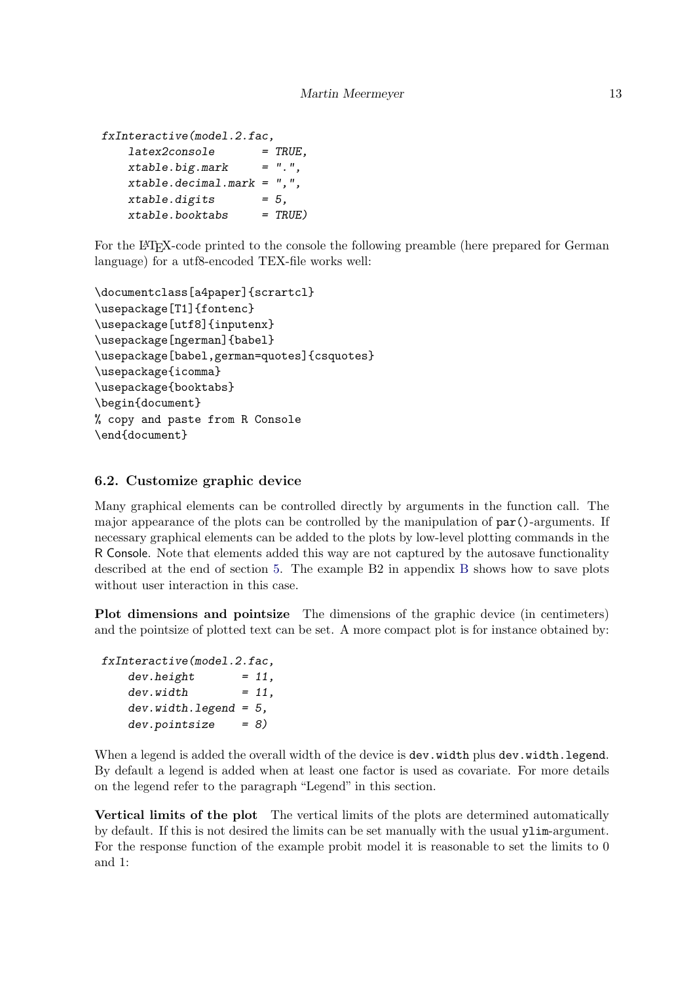```
fxInteractive(model.2.fac,
   lates2console = TRUE,
   xtable.big.maxk = "."xtable.decimal.mark = ",",
   xtable.digits = 5,xtable.booktabs = TRUE)
```
For the LAT<sub>EX</sub>-code printed to the console the following preamble (here prepared for German language) for a utf8-encoded TEX-file works well:

```
\documentclass[a4paper]{scrartcl}
\usepackage[T1]{fontenc}
\usepackage[utf8]{inputenx}
\usepackage[ngerman]{babel}
\usepackage[babel,german=quotes]{csquotes}
\usepackage{icomma}
\usepackage{booktabs}
\begin{document}
% copy and paste from R Console
\end{document}
```
### <span id="page-12-0"></span>6.2. Customize graphic device

Many graphical elements can be controlled directly by arguments in the function call. The major appearance of the plots can be controlled by the manipulation of par()-arguments. If necessary graphical elements can be added to the plots by low-level plotting commands in the R Console. Note that elements added this way are not captured by the autosave functionality described at the end of section [5.](#page-9-0) The example B2 in appendix [B](#page-19-1) shows how to save plots without user interaction in this case.

Plot dimensions and pointsize The dimensions of the graphic device (in centimeters) and the pointsize of plotted text can be set. A more compact plot is for instance obtained by:

```
fxInteractive(model.2.fac,
   dev. height = 11,
   dev. width = 11,dev<u>width.legend</u> = <math>5,
   dev.pointsize = 8)
```
When a legend is added the overall width of the device is dev.width plus dev.width.legend. By default a legend is added when at least one factor is used as covariate. For more details on the legend refer to the paragraph "Legend" in this section.

Vertical limits of the plot The vertical limits of the plots are determined automatically by default. If this is not desired the limits can be set manually with the usual ylim-argument. For the response function of the example probit model it is reasonable to set the limits to 0 and 1: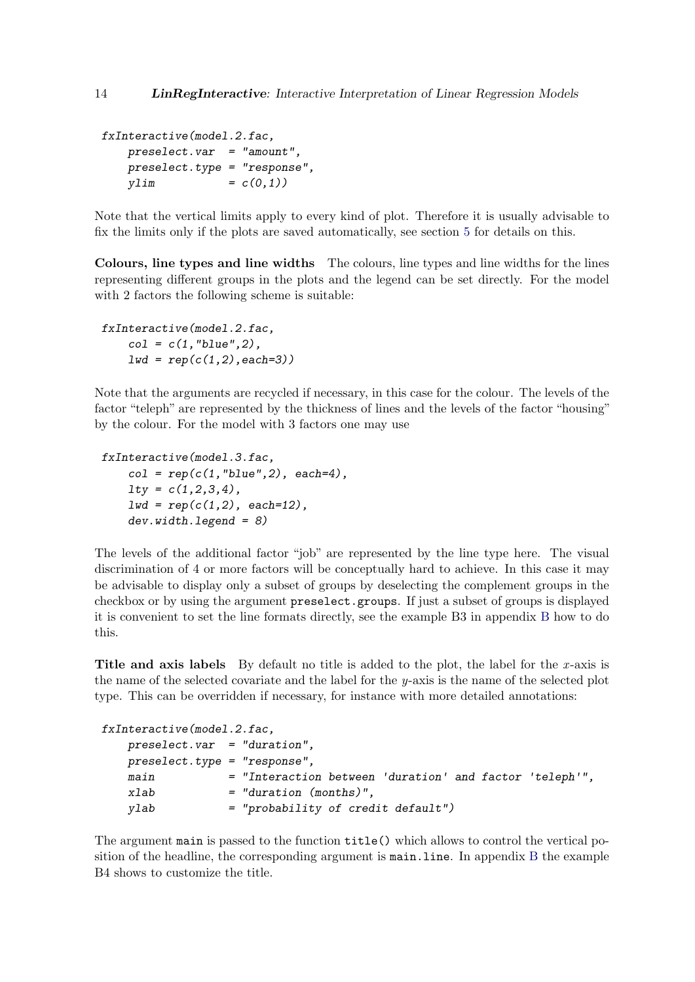```
fxInteractive(model.2.fac,
   preselect.var = "amount",
   preselect.type = "response",
   vlim = c(0,1)
```
Note that the vertical limits apply to every kind of plot. Therefore it is usually advisable to fix the limits only if the plots are saved automatically, see section [5](#page-9-0) for details on this.

Colours, line types and line widths The colours, line types and line widths for the lines representing different groups in the plots and the legend can be set directly. For the model with 2 factors the following scheme is suitable:

```
fxInteractive(model.2.fac,
    col = c(1, "blue", 2),
    1wd = rep(c(1,2), each=3))
```
Note that the arguments are recycled if necessary, in this case for the colour. The levels of the factor "teleph" are represented by the thickness of lines and the levels of the factor "housing" by the colour. For the model with 3 factors one may use

```
fxInteractive(model.3.fac,
    col = rep(c(1, "blue", 2), each=4),lty = c(1,2,3,4),
    1wd = rep(c(1,2), each=12),dev.width.legend = 8)
```
The levels of the additional factor "job" are represented by the line type here. The visual discrimination of 4 or more factors will be conceptually hard to achieve. In this case it may be advisable to display only a subset of groups by deselecting the complement groups in the checkbox or by using the argument preselect.groups. If just a subset of groups is displayed it is convenient to set the line formats directly, see the example B3 in appendix [B](#page-19-1) how to do this.

Title and axis labels By default no title is added to the plot, the label for the x-axis is the name of the selected covariate and the label for the y-axis is the name of the selected plot type. This can be overridden if necessary, for instance with more detailed annotations:

```
fxInteractive(model.2.fac,
   preselect.var = "duration",
   preselect.type = "response",
   main = "Interaction between 'duration' and factor 'teleph'",
   xlab = "duration (months)",
   ylab = "probability of credit default")
```
The argument main is passed to the function title() which allows to control the vertical position of the headline, the corresponding argument is main.line. In appendix [B](#page-19-1) the example B4 shows to customize the title.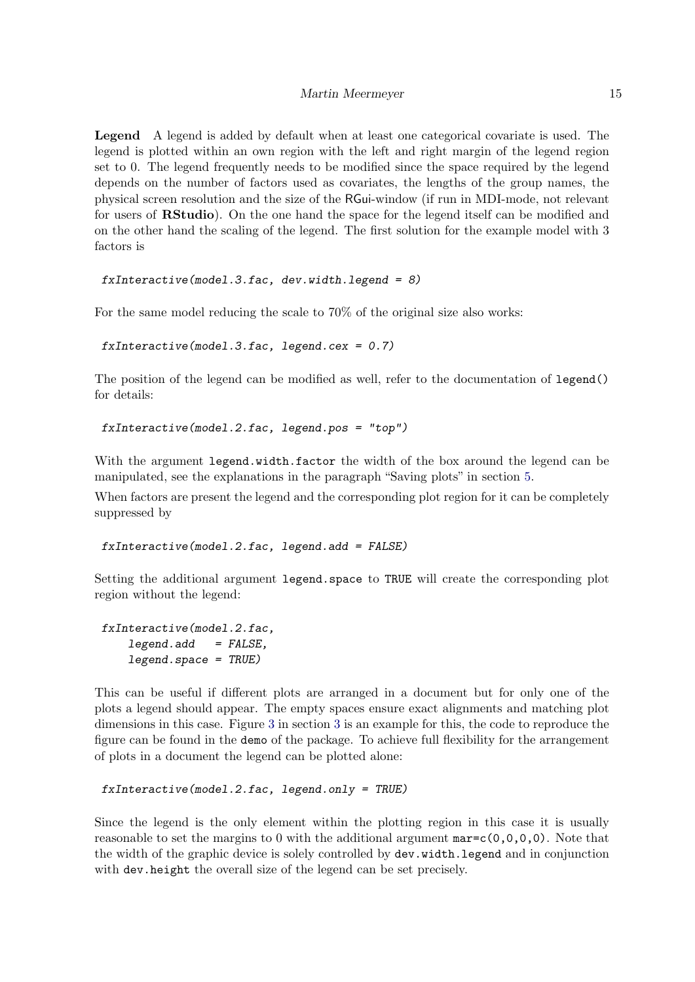Legend A legend is added by default when at least one categorical covariate is used. The legend is plotted within an own region with the left and right margin of the legend region set to 0. The legend frequently needs to be modified since the space required by the legend depends on the number of factors used as covariates, the lengths of the group names, the physical screen resolution and the size of the RGui-window (if run in MDI-mode, not relevant for users of **RStudio**). On the one hand the space for the legend itself can be modified and on the other hand the scaling of the legend. The first solution for the example model with 3 factors is

```
fxInteractive(model.3.fac, dev.width. legend = 8)
```
For the same model reducing the scale to 70% of the original size also works:

```
fxInteractive(model.3.fac, legend.cex = 0.7)
```
The position of the legend can be modified as well, refer to the documentation of legend() for details:

```
fxInteractive(model.2.fac, legend.pos = "top")
```
With the argument legend.width.factor the width of the box around the legend can be manipulated, see the explanations in the paragraph "Saving plots" in section [5.](#page-9-0)

When factors are present the legend and the corresponding plot region for it can be completely suppressed by

fxInteractive(model.2.fac, legend.add = FALSE)

Setting the additional argument legend.space to TRUE will create the corresponding plot region without the legend:

```
fxInteractive(model.2.fac,
   legend.add = FALSE,legend.space = TRUE)
```
This can be useful if different plots are arranged in a document but for only one of the plots a legend should appear. The empty spaces ensure exact alignments and matching plot dimensions in this case. Figure [3](#page-4-1) in section [3](#page-4-0) is an example for this, the code to reproduce the figure can be found in the demo of the package. To achieve full flexibility for the arrangement of plots in a document the legend can be plotted alone:

```
fxInteractive(model.2.fac, legend.only = TRUE)
```
Since the legend is the only element within the plotting region in this case it is usually reasonable to set the margins to 0 with the additional argument  $\text{mar} = c(0,0,0,0)$ . Note that the width of the graphic device is solely controlled by dev.width.legend and in conjunction with dev.height the overall size of the legend can be set precisely.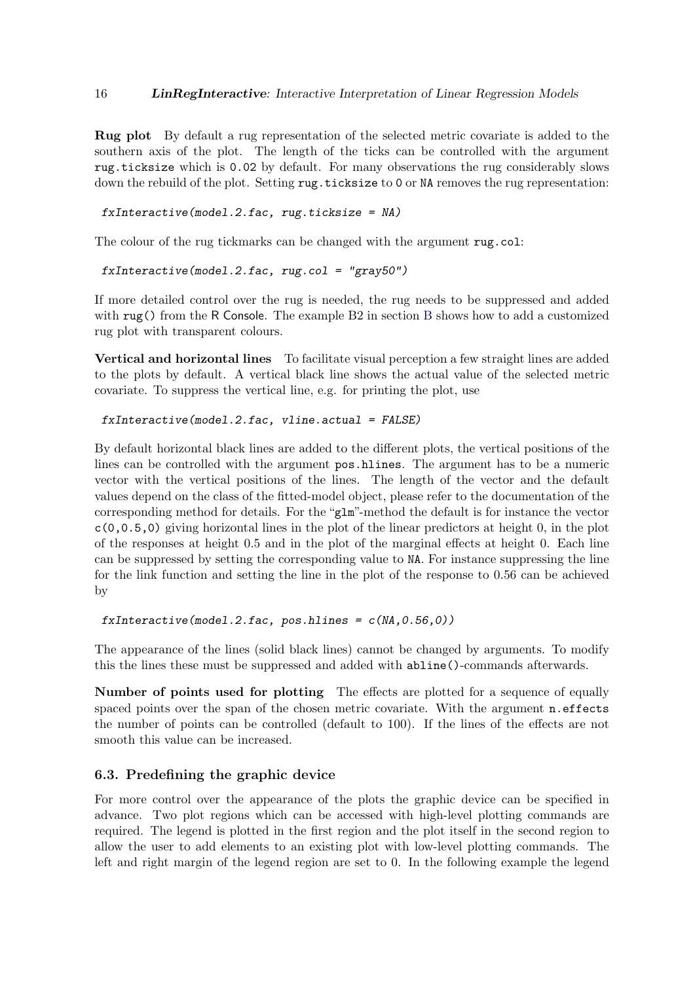Rug plot By default a rug representation of the selected metric covariate is added to the southern axis of the plot. The length of the ticks can be controlled with the argument rug.ticksize which is 0.02 by default. For many observations the rug considerably slows down the rebuild of the plot. Setting rug.ticksize to 0 or NA removes the rug representation:

 $f$ xInteractive(model.2.fac, rug.ticksize = NA)

The colour of the rug tickmarks can be changed with the argument rug.col:

fxInteractive(model.2.fac, rug.col = "gray50")

If more detailed control over the rug is needed, the rug needs to be suppressed and added with rug() from the R Console. The example [B](#page-19-1)2 in section B shows how to add a customized rug plot with transparent colours.

Vertical and horizontal lines To facilitate visual perception a few straight lines are added to the plots by default. A vertical black line shows the actual value of the selected metric covariate. To suppress the vertical line, e.g. for printing the plot, use

#### fxInteractive(model.2.fac, vline.actual = FALSE)

By default horizontal black lines are added to the different plots, the vertical positions of the lines can be controlled with the argument pos.hlines. The argument has to be a numeric vector with the vertical positions of the lines. The length of the vector and the default values depend on the class of the fitted-model object, please refer to the documentation of the corresponding method for details. For the "glm"-method the default is for instance the vector c(0,0.5,0) giving horizontal lines in the plot of the linear predictors at height 0, in the plot of the responses at height 0.5 and in the plot of the marginal effects at height 0. Each line can be suppressed by setting the corresponding value to NA. For instance suppressing the line for the link function and setting the line in the plot of the response to 0.56 can be achieved by

```
fxInteractive(model.2.fac, pos.hlines = c(NA, 0.56, 0))
```
The appearance of the lines (solid black lines) cannot be changed by arguments. To modify this the lines these must be suppressed and added with abline()-commands afterwards.

Number of points used for plotting The effects are plotted for a sequence of equally spaced points over the span of the chosen metric covariate. With the argument n.effects the number of points can be controlled (default to 100). If the lines of the effects are not smooth this value can be increased.

#### <span id="page-15-0"></span>6.3. Predefining the graphic device

For more control over the appearance of the plots the graphic device can be specified in advance. Two plot regions which can be accessed with high-level plotting commands are required. The legend is plotted in the first region and the plot itself in the second region to allow the user to add elements to an existing plot with low-level plotting commands. The left and right margin of the legend region are set to 0. In the following example the legend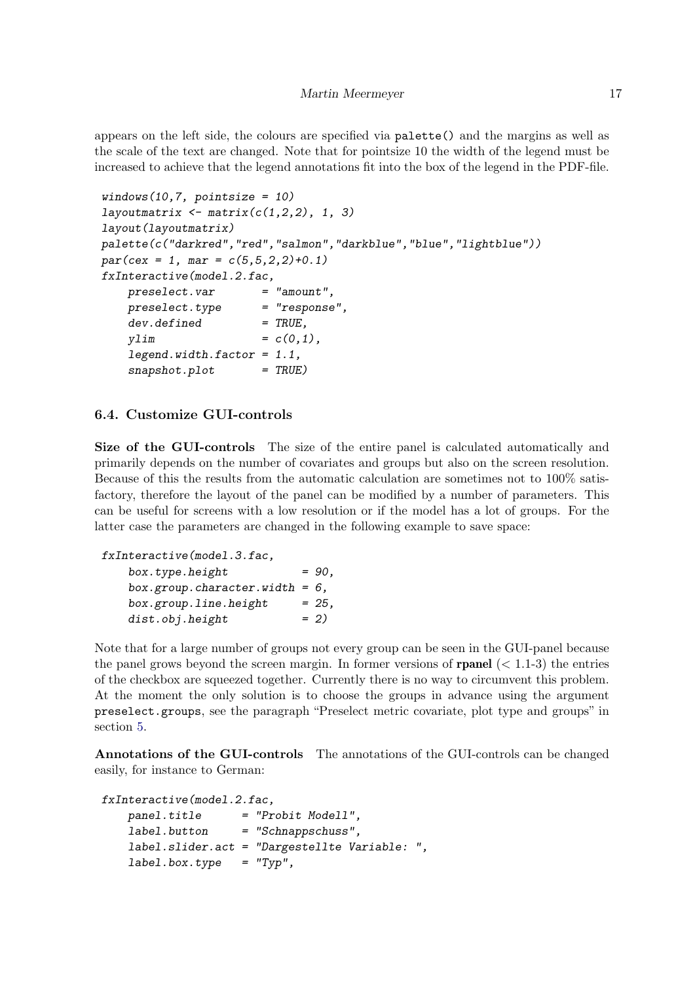appears on the left side, the colours are specified via palette() and the margins as well as the scale of the text are changed. Note that for pointsize 10 the width of the legend must be increased to achieve that the legend annotations fit into the box of the legend in the PDF-file.

```
windows(10,7, pointsize = 10)layoutmatrix \leftarrow matrix(c(1,2,2), 1, 3)layout(layoutmatrix)
palette(c("darkred","red","salmon","darkblue","blue","lightblue"))
par(cex = 1, mar = c(5,5,2,2)+0.1)fxInteractive(model.2.fac,
   preselect. var = "amount",preselect.type = "response",
   dev.defined = TRUE,vlim = c(0,1),
   legend.width.factor = 1.1,snapshot.plot = TRUE)
```
### <span id="page-16-0"></span>6.4. Customize GUI-controls

Size of the GUI-controls The size of the entire panel is calculated automatically and primarily depends on the number of covariates and groups but also on the screen resolution. Because of this the results from the automatic calculation are sometimes not to 100% satisfactory, therefore the layout of the panel can be modified by a number of parameters. This can be useful for screens with a low resolution or if the model has a lot of groups. For the latter case the parameters are changed in the following example to save space:

```
fxInteractive(model.3.fac,
   box.type. height = 90,
   box.group.character.width = 6,
   box.group. line. height = 25,
   dist.obj.height = 2)
```
Note that for a large number of groups not every group can be seen in the GUI-panel because the panel grows beyond the screen margin. In former versions of **rpanel**  $(< 1.1-3$ ) the entries of the checkbox are squeezed together. Currently there is no way to circumvent this problem. At the moment the only solution is to choose the groups in advance using the argument preselect.groups, see the paragraph "Preselect metric covariate, plot type and groups" in section [5.](#page-9-0)

Annotations of the GUI-controls The annotations of the GUI-controls can be changed easily, for instance to German:

```
fxInteractive(model.2.fac,
   panel.title = "Probit Modell",
   label.button = "Schnappschuss",
   label.slider.act = "Dargestellte Variable: ",
```
 $label.box.type = "Typ",$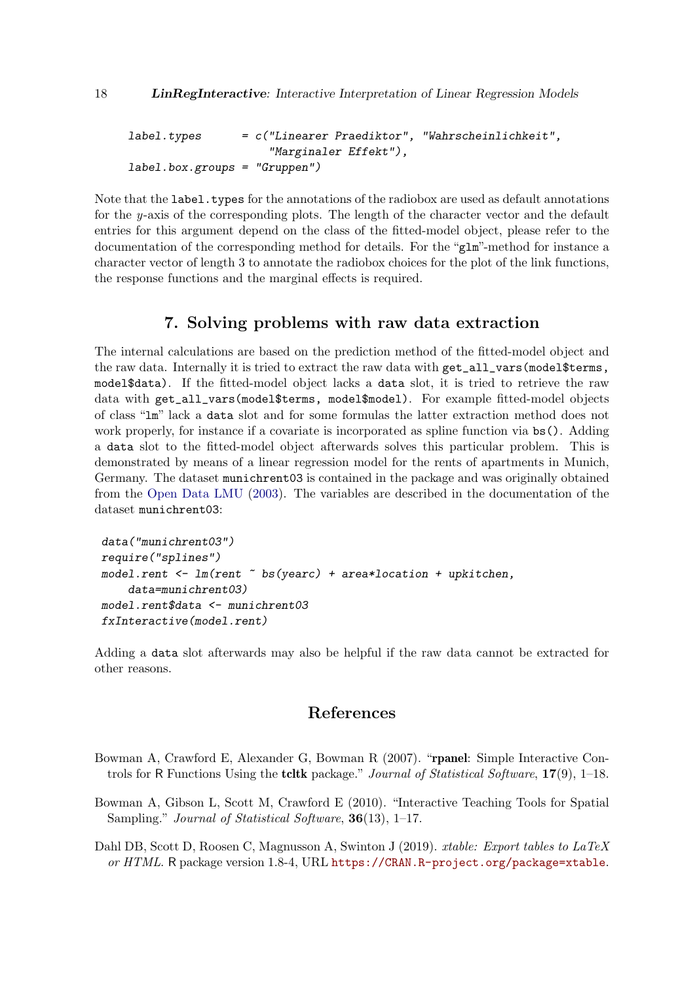```
label.typeS = c("Linear Fraction of a "Wahrscheinlichkeit","Marginaler Effekt"),
label.box.groups = "Gruppen")
```
Note that the label.types for the annotations of the radiobox are used as default annotations for the y-axis of the corresponding plots. The length of the character vector and the default entries for this argument depend on the class of the fitted-model object, please refer to the documentation of the corresponding method for details. For the "glm"-method for instance a character vector of length 3 to annotate the radiobox choices for the plot of the link functions, the response functions and the marginal effects is required.

## 7. Solving problems with raw data extraction

<span id="page-17-3"></span>The internal calculations are based on the prediction method of the fitted-model object and the raw data. Internally it is tried to extract the raw data with get\_all\_vars(model\$terms, model\$data). If the fitted-model object lacks a data slot, it is tried to retrieve the raw data with get\_all\_vars(model\$terms, model\$model). For example fitted-model objects of class "lm" lack a data slot and for some formulas the latter extraction method does not work properly, for instance if a covariate is incorporated as spline function via  $bs()$ . Adding a data slot to the fitted-model object afterwards solves this particular problem. This is demonstrated by means of a linear regression model for the rents of apartments in Munich, Germany. The dataset munichrent03 is contained in the package and was originally obtained from the [Open Data LMU](#page-18-10) [\(2003\)](#page-18-10). The variables are described in the documentation of the dataset munichrent03:

```
data("munichrent03")
require("splines")
model.rent \leq -\ln(\text{rent} \leq \text{bs}(\text{year}) + \text{area}*\text{location} + \text{upkitchen},data=munichrent03)
model.rent$data <- munichrent03
fxInteractive(model.rent)
```
Adding a data slot afterwards may also be helpful if the raw data cannot be extracted for other reasons.

# References

- <span id="page-17-0"></span>Bowman A, Crawford E, Alexander G, Bowman R (2007). "rpanel: Simple Interactive Controls for R Functions Using the **tcltk** package." *Journal of Statistical Software*, 17(9), 1–18.
- <span id="page-17-1"></span>Bowman A, Gibson L, Scott M, Crawford E (2010). "Interactive Teaching Tools for Spatial Sampling." *Journal of Statistical Software*, **36**(13), 1–17.

<span id="page-17-2"></span>Dahl DB, Scott D, Roosen C, Magnusson A, Swinton J (2019). xtable: Export tables to LaTeX or HTML. R package version 1.8-4, URL <https://CRAN.R-project.org/package=xtable>.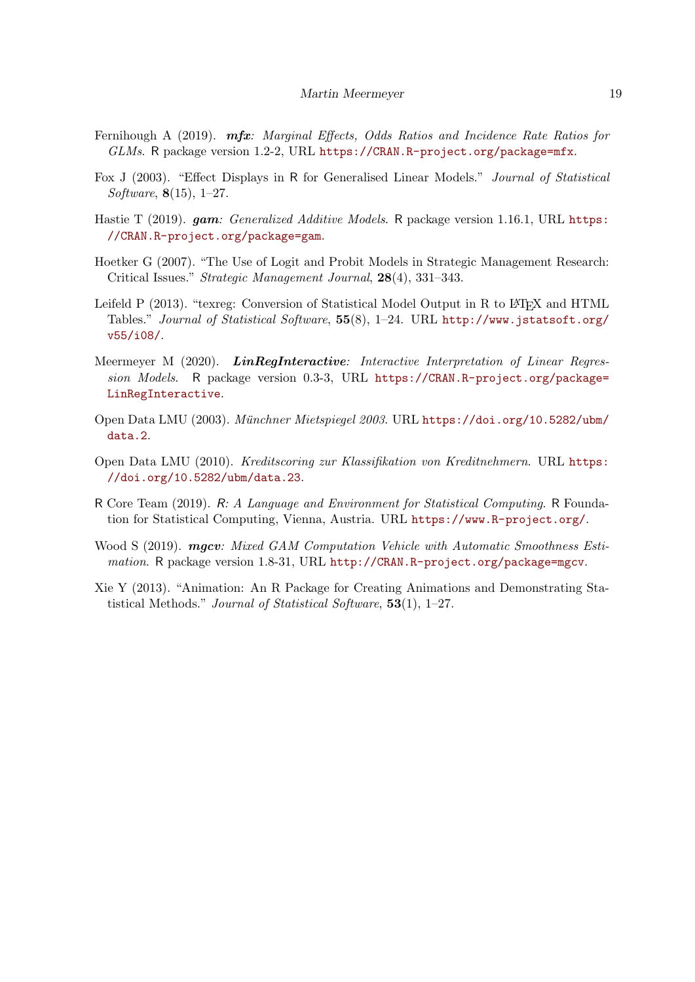- <span id="page-18-5"></span>Fernihough A (2019). mfx: Marginal Effects, Odds Ratios and Incidence Rate Ratios for GLMs. R package version 1.2-2, URL <https://CRAN.R-project.org/package=mfx>.
- <span id="page-18-4"></span>Fox J (2003). "Effect Displays in R for Generalised Linear Models." Journal of Statistical Software, 8(15), 1–27.
- <span id="page-18-8"></span>Hastie T (2019). *gam: Generalized Additive Models.* R package version 1.16.1, URL [https:](https://CRAN.R-project.org/package=gam) [//CRAN.R-project.org/package=gam](https://CRAN.R-project.org/package=gam).
- <span id="page-18-0"></span>Hoetker G (2007). "The Use of Logit and Probit Models in Strategic Management Research: Critical Issues." Strategic Management Journal, 28(4), 331–343.
- <span id="page-18-9"></span>Leifeld P (2013). "texreg: Conversion of Statistical Model Output in R to LATEX and HTML Tables." Journal of Statistical Software, 55(8), 1–24. URL [http://www.jstatsoft.org/](http://www.jstatsoft.org/v55/i08/) [v55/i08/](http://www.jstatsoft.org/v55/i08/).
- <span id="page-18-1"></span>Meermeyer M (2020). LinRegInteractive: Interactive Interpretation of Linear Regression Models. R package version 0.3-3, URL [https://CRAN.R-project.org/package=](https://CRAN.R-project.org/package=LinRegInteractive) [LinRegInteractive](https://CRAN.R-project.org/package=LinRegInteractive).
- <span id="page-18-10"></span>Open Data LMU (2003). Münchner Mietspiegel 2003. URL [https://doi.org/10.5282/ubm/](https://doi.org/10.5282/ubm/data.2) [data.2](https://doi.org/10.5282/ubm/data.2).
- <span id="page-18-6"></span>Open Data LMU (2010). Kreditscoring zur Klassifikation von Kreditnehmern. URL [https:](https://doi.org/10.5282/ubm/data.23) [//doi.org/10.5282/ubm/data.23](https://doi.org/10.5282/ubm/data.23).
- <span id="page-18-2"></span>R Core Team (2019). R: A Language and Environment for Statistical Computing. R Foundation for Statistical Computing, Vienna, Austria. URL <https://www.R-project.org/>.
- <span id="page-18-7"></span>Wood S (2019). **mgcv**: Mixed GAM Computation Vehicle with Automatic Smoothness Estimation. R package version 1.8-31, URL <http://CRAN.R-project.org/package=mgcv>.
- <span id="page-18-3"></span>Xie Y (2013). "Animation: An R Package for Creating Animations and Demonstrating Statistical Methods." Journal of Statistical Software, 53(1), 1–27.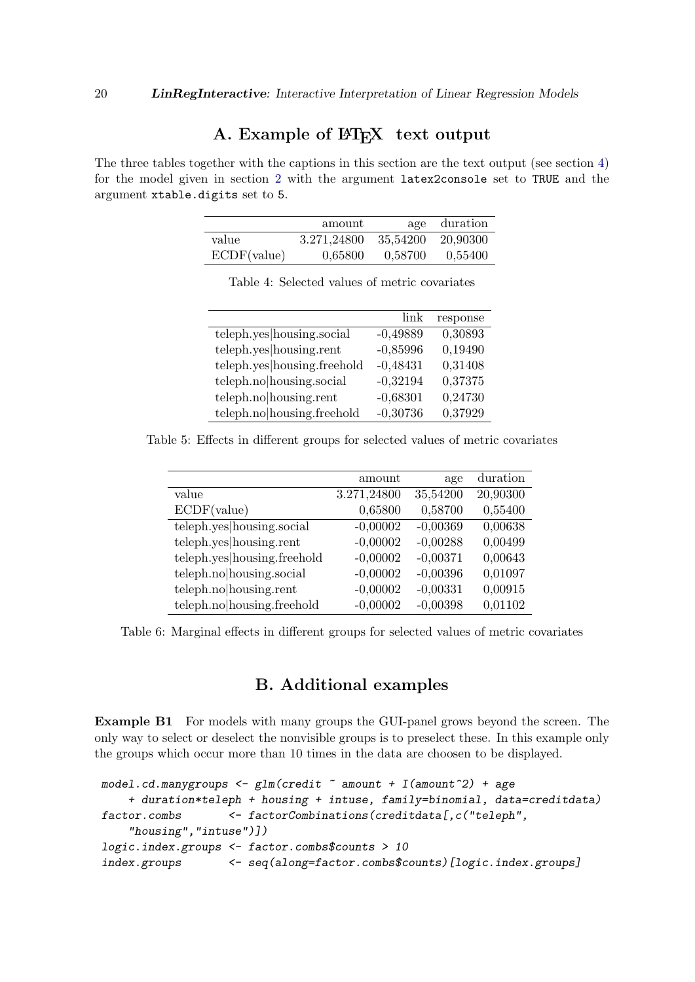# A. Example of  $\mathbb{H}$ <sub>F</sub>X text output

<span id="page-19-0"></span>The three tables together with the captions in this section are the text output (see section [4\)](#page-8-0) for the model given in section [2](#page-2-0) with the argument latex2console set to TRUE and the argument xtable.digits set to 5.

|             | amount      |                   | age duration |
|-------------|-------------|-------------------|--------------|
| value       | 3.271.24800 | 35,54200 20,90300 |              |
| ECDF(value) | 0.65800     | 0.58700           | 0.55400      |

|                             | link       | response |
|-----------------------------|------------|----------|
| teleph.yes housing.social   | $-0,49889$ | 0,30893  |
| teleph.yes housing.rent     | $-0,85996$ | 0,19490  |
| teleph.yes housing.freehold | $-0,48431$ | 0,31408  |
| teleph.no housing.social    | $-0,32194$ | 0,37375  |
| teleph.no housing.rent      | $-0,68301$ | 0,24730  |
| teleph.no housing.freehold  | $-0,30736$ | 0,37929  |

Table 4: Selected values of metric covariates

Table 5: Effects in different groups for selected values of metric covariates

|                             | amount      | age        | duration |
|-----------------------------|-------------|------------|----------|
| value                       | 3.271,24800 | 35,54200   | 20,90300 |
| ECDF(value)                 | 0,65800     | 0,58700    | 0,55400  |
| teleph.yes housing.social   | $-0,00002$  | $-0,00369$ | 0,00638  |
| teleph.yes housing.rent     | $-0,00002$  | $-0,00288$ | 0,00499  |
| teleph.yes housing.freehold | $-0,00002$  | $-0,00371$ | 0,00643  |
| teleph.no housing.social    | $-0,00002$  | $-0,00396$ | 0,01097  |
| teleph.no housing.rent      | $-0,00002$  | $-0,00331$ | 0,00915  |
| teleph.no housing.freehold  | $-0,00002$  | $-0,00398$ | 0,01102  |

Table 6: Marginal effects in different groups for selected values of metric covariates

### B. Additional examples

<span id="page-19-1"></span>Example B1 For models with many groups the GUI-panel grows beyond the screen. The only way to select or deselect the nonvisible groups is to preselect these. In this example only the groups which occur more than 10 times in the data are choosen to be displayed.

```
model.cd.manygroups < -glm(credit ~ amount + I(amount^2) + age+ duration*teleph + housing + intuse, family=binomial, data=creditdata)
factor.combs <- factorCombinations(creditdata[,c("teleph",
    "housing", "intuse")])
logic.index.groups <- factor.combs$counts > 10
index.groups <- seq(along=factor.combs$counts)[logic.index.groups]
```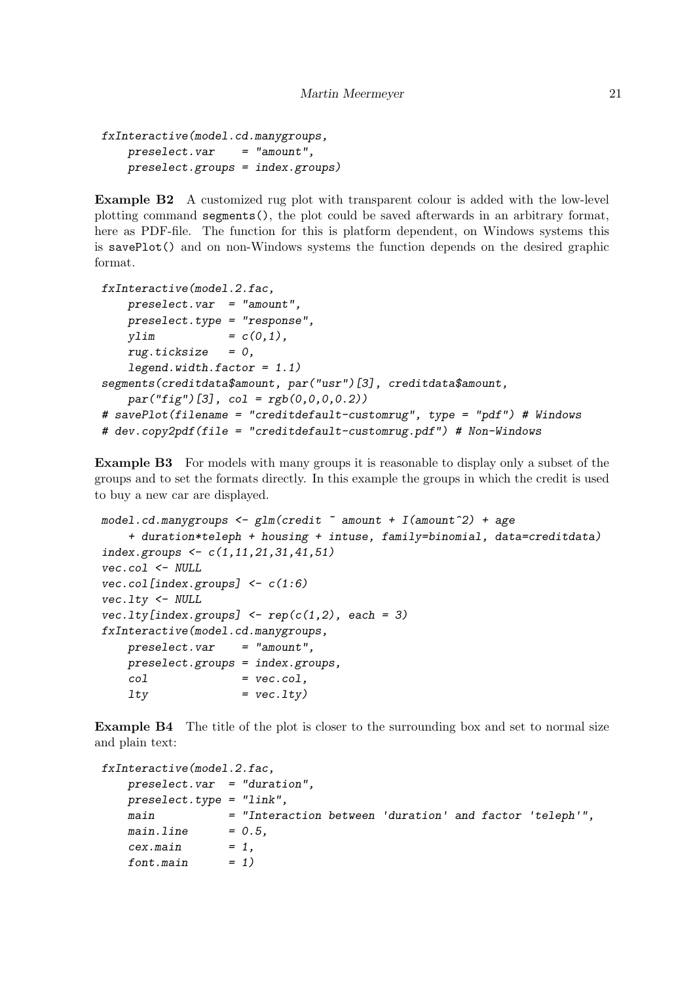```
fxInteractive(model.cd.manygroups,
   preselect. var = "amount",preselect.groups = index.groups)
```
Example B2 A customized rug plot with transparent colour is added with the low-level plotting command segments(), the plot could be saved afterwards in an arbitrary format, here as PDF-file. The function for this is platform dependent, on Windows systems this is savePlot() and on non-Windows systems the function depends on the desired graphic format.

```
fxInteractive(model.2.fac,
   preselect. var = "amount",preselect.type = "response",
   ylim = c(0,1),
   rug.ticksize = 0,legend.width.factor = 1.1)segments(creditdata$amount, par("usr")[3], creditdata$amount,
   par("fig") [3], col = rgb(0,0,0,0.2))# savePlot(filename = "creditdefault-customrug", type = "pdf") # Windows
# dev.copy2pdf(file = "creditdefault-customrug.pdf") # Non-Windows
```
Example B3 For models with many groups it is reasonable to display only a subset of the groups and to set the formats directly. In this example the groups in which the credit is used to buy a new car are displayed.

```
model.cd.maxgroups \leq glm(credit \text{ } "amount + I(amount \text{'}2) + age+ duration*teleph + housing + intuse, family=binomial, data=creditdata)
index.groups \leq c(1, 11, 21, 31, 41, 51)vec.col <- NULL
vec.col/index.groups] <- c(1:6)vec.lty <- NULL
vec.1ty[index.groups] \leftarrow rep(c(1,2), each = 3)fxInteractive(model.cd.manygroups,
    preselect. var = "amount",preselect.groups = index.groups,
    col = vec.col,
    ltv = vec.ltv
```
**Example B4** The title of the plot is closer to the surrounding box and set to normal size and plain text:

```
fxInteractive(model.2.fac,
   preselect.var = "duration",
   preselect.type = "link",
   main = "Interaction between 'duration' and factor 'teleph'",
   mainuine = 0.5,
   cex.mainloop = 1,
   font.mainloop = 1)
```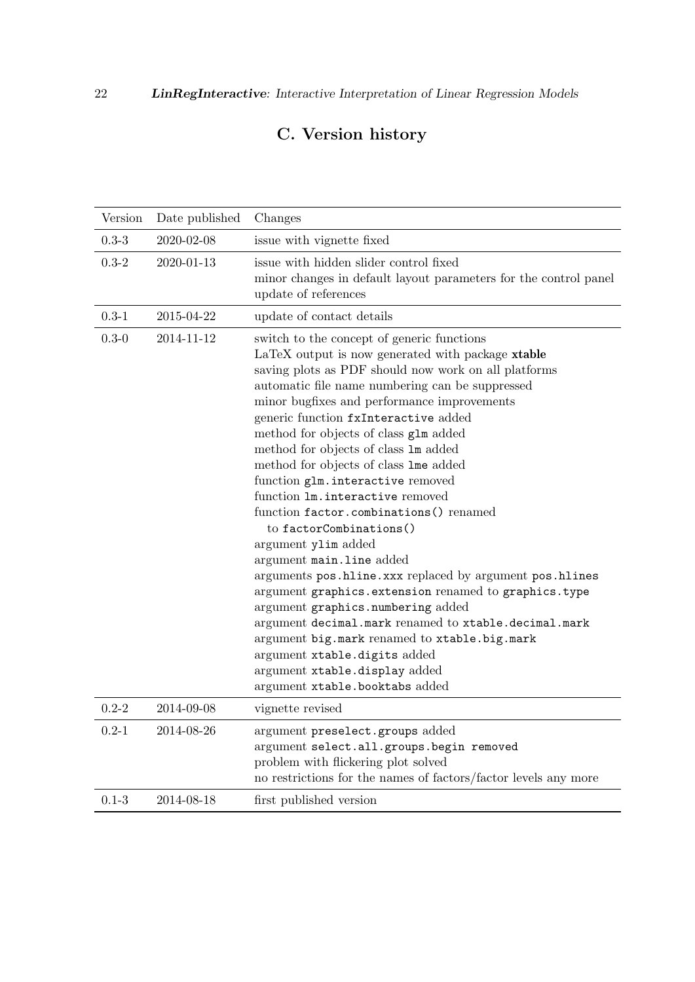# C. Version history

| Version   | Date published | Changes                                                                                                                                                                                                                                                                                                                                                                                                                                                                                                                                                                                                                                                                                                                                                                                                                                                                                                                                                                                          |
|-----------|----------------|--------------------------------------------------------------------------------------------------------------------------------------------------------------------------------------------------------------------------------------------------------------------------------------------------------------------------------------------------------------------------------------------------------------------------------------------------------------------------------------------------------------------------------------------------------------------------------------------------------------------------------------------------------------------------------------------------------------------------------------------------------------------------------------------------------------------------------------------------------------------------------------------------------------------------------------------------------------------------------------------------|
| $0.3 - 3$ | 2020-02-08     | issue with vignette fixed                                                                                                                                                                                                                                                                                                                                                                                                                                                                                                                                                                                                                                                                                                                                                                                                                                                                                                                                                                        |
| $0.3 - 2$ | 2020-01-13     | issue with hidden slider control fixed<br>minor changes in default layout parameters for the control panel<br>update of references                                                                                                                                                                                                                                                                                                                                                                                                                                                                                                                                                                                                                                                                                                                                                                                                                                                               |
| $0.3 - 1$ | 2015-04-22     | update of contact details                                                                                                                                                                                                                                                                                                                                                                                                                                                                                                                                                                                                                                                                                                                                                                                                                                                                                                                                                                        |
| $0.3 - 0$ | 2014-11-12     | switch to the concept of generic functions<br>LaTeX output is now generated with package xtable<br>saving plots as PDF should now work on all platforms<br>automatic file name numbering can be suppressed<br>minor bugfixes and performance improvements<br>generic function fxInteractive added<br>method for objects of class glm added<br>method for objects of class 1m added<br>method for objects of class lme added<br>function glm. interactive removed<br>function lm.interactive removed<br>function factor.combinations() renamed<br>to factorCombinations()<br>argument ylim added<br>argument main.line added<br>arguments pos.hline.xxx replaced by argument pos.hlines<br>argument graphics. extension renamed to graphics. type<br>argument graphics.numbering added<br>argument decimal.mark renamed to xtable.decimal.mark<br>argument big.mark renamed to xtable.big.mark<br>argument xtable.digits added<br>argument xtable.display added<br>argument xtable.booktabs added |
| $0.2 - 2$ | 2014-09-08     | vignette revised                                                                                                                                                                                                                                                                                                                                                                                                                                                                                                                                                                                                                                                                                                                                                                                                                                                                                                                                                                                 |
| $0.2 - 1$ | 2014-08-26     | argument preselect.groups added<br>argument select.all.groups.begin removed<br>problem with flickering plot solved<br>no restrictions for the names of factors/factor levels any more                                                                                                                                                                                                                                                                                                                                                                                                                                                                                                                                                                                                                                                                                                                                                                                                            |
| $0.1 - 3$ | 2014-08-18     | first published version                                                                                                                                                                                                                                                                                                                                                                                                                                                                                                                                                                                                                                                                                                                                                                                                                                                                                                                                                                          |